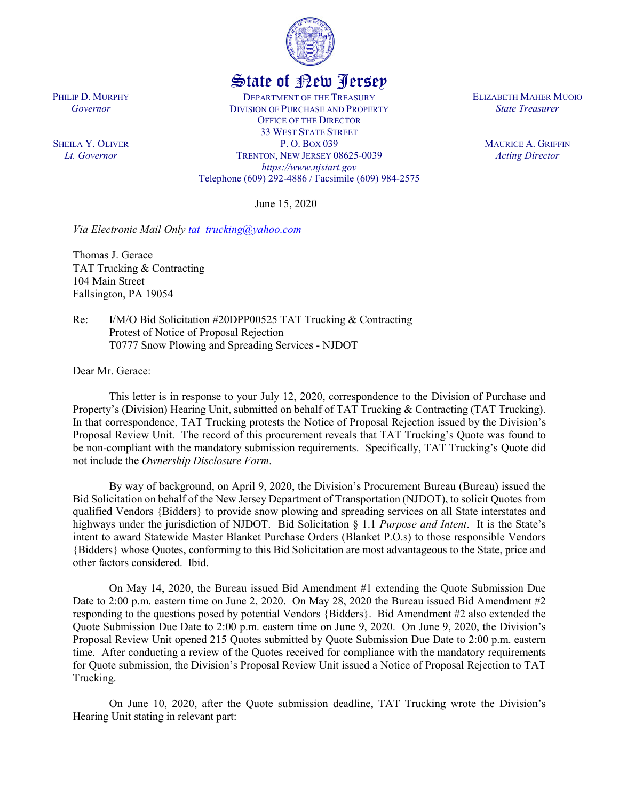

## State of New Jersey

DEPARTMENT OF THE TREASURY DIVISION OF PURCHASE AND PROPERTY OFFICE OF THE DIRECTOR 33 WEST STATE STREET P. O. BOX 039 TRENTON, NEW JERSEY 08625-0039 *https://www.njstart.gov* Telephone (609) 292-4886 / Facsimile (609) 984-2575

June 15, 2020

*Via Electronic Mail Only tat trucking@yahoo.com* 

Thomas J. Gerace TAT Trucking & Contracting 104 Main Street Fallsington, PA 19054

Re: I/M/O Bid Solicitation #20DPP00525 TAT Trucking & Contracting Protest of Notice of Proposal Rejection T0777 Snow Plowing and Spreading Services - NJDOT

Dear Mr. Gerace:

PHILIP D. MURPHY *Governor*

SHEILA Y. OLIVER *Lt. Governor*

> This letter is in response to your July 12, 2020, correspondence to the Division of Purchase and Property's (Division) Hearing Unit, submitted on behalf of TAT Trucking & Contracting (TAT Trucking). In that correspondence, TAT Trucking protests the Notice of Proposal Rejection issued by the Division's Proposal Review Unit. The record of this procurement reveals that TAT Trucking's Quote was found to be non-compliant with the mandatory submission requirements. Specifically, TAT Trucking's Quote did not include the *Ownership Disclosure Form*.

> By way of background, on April 9, 2020, the Division's Procurement Bureau (Bureau) issued the Bid Solicitation on behalf of the New Jersey Department of Transportation (NJDOT), to solicit Quotesfrom qualified Vendors {Bidders} to provide snow plowing and spreading services on all State interstates and highways under the jurisdiction of NJDOT. Bid Solicitation § 1.1 *Purpose and Intent*. It is the State's intent to award Statewide Master Blanket Purchase Orders (Blanket P.O.s) to those responsible Vendors {Bidders} whose Quotes, conforming to this Bid Solicitation are most advantageous to the State, price and other factors considered. Ibid.

> On May 14, 2020, the Bureau issued Bid Amendment #1 extending the Quote Submission Due Date to 2:00 p.m. eastern time on June 2, 2020. On May 28, 2020 the Bureau issued Bid Amendment #2 responding to the questions posed by potential Vendors {Bidders}. Bid Amendment #2 also extended the Quote Submission Due Date to 2:00 p.m. eastern time on June 9, 2020. On June 9, 2020, the Division's Proposal Review Unit opened 215 Quotes submitted by Quote Submission Due Date to 2:00 p.m. eastern time. After conducting a review of the Quotes received for compliance with the mandatory requirements for Quote submission, the Division's Proposal Review Unit issued a Notice of Proposal Rejection to TAT Trucking.

> On June 10, 2020, after the Quote submission deadline, TAT Trucking wrote the Division's Hearing Unit stating in relevant part:

ELIZABETH MAHER MUOIO *State Treasurer*

> MAURICE A. GRIFFIN *Acting Director*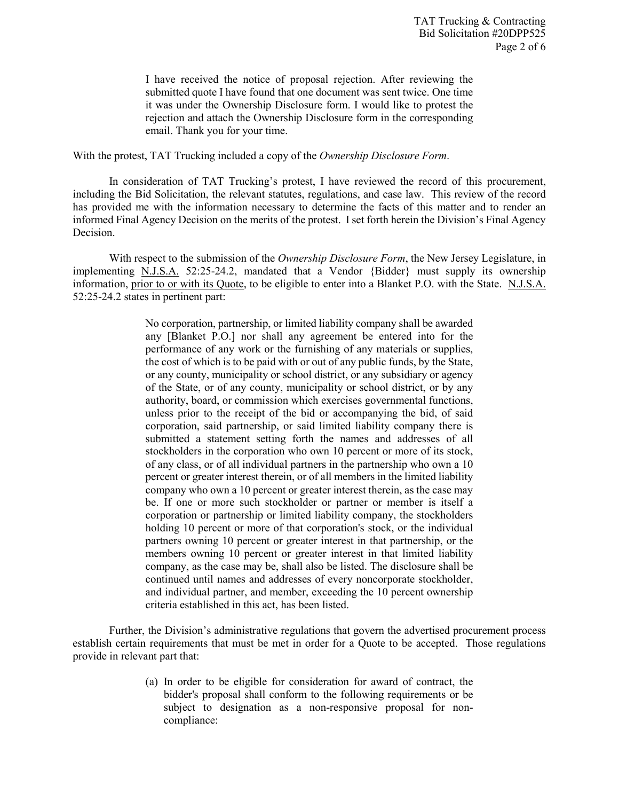I have received the notice of proposal rejection. After reviewing the submitted quote I have found that one document was sent twice. One time it was under the Ownership Disclosure form. I would like to protest the rejection and attach the Ownership Disclosure form in the corresponding email. Thank you for your time.

With the protest, TAT Trucking included a copy of the *Ownership Disclosure Form*.

In consideration of TAT Trucking's protest, I have reviewed the record of this procurement, including the Bid Solicitation, the relevant statutes, regulations, and case law. This review of the record has provided me with the information necessary to determine the facts of this matter and to render an informed Final Agency Decision on the merits of the protest. I set forth herein the Division's Final Agency Decision.

With respect to the submission of the *Ownership Disclosure Form*, the New Jersey Legislature, in implementing N.J.S.A. 52:25-24.2, mandated that a Vendor {Bidder} must supply its ownership information, prior to or with its Quote, to be eligible to enter into a Blanket P.O. with the State. N.J.S.A. 52:25-24.2 states in pertinent part:

> No corporation, partnership, or limited liability company shall be awarded any [Blanket P.O.] nor shall any agreement be entered into for the performance of any work or the furnishing of any materials or supplies, the cost of which is to be paid with or out of any public funds, by the State, or any county, municipality or school district, or any subsidiary or agency of the State, or of any county, municipality or school district, or by any authority, board, or commission which exercises governmental functions, unless prior to the receipt of the bid or accompanying the bid, of said corporation, said partnership, or said limited liability company there is submitted a statement setting forth the names and addresses of all stockholders in the corporation who own 10 percent or more of its stock, of any class, or of all individual partners in the partnership who own a 10 percent or greater interest therein, or of all members in the limited liability company who own a 10 percent or greater interest therein, as the case may be. If one or more such stockholder or partner or member is itself a corporation or partnership or limited liability company, the stockholders holding 10 percent or more of that corporation's stock, or the individual partners owning 10 percent or greater interest in that partnership, or the members owning 10 percent or greater interest in that limited liability company, as the case may be, shall also be listed. The disclosure shall be continued until names and addresses of every noncorporate stockholder, and individual partner, and member, exceeding the 10 percent ownership criteria established in this act, has been listed.

Further, the Division's administrative regulations that govern the advertised procurement process establish certain requirements that must be met in order for a Quote to be accepted. Those regulations provide in relevant part that:

> (a) In order to be eligible for consideration for award of contract, the bidder's proposal shall conform to the following requirements or be subject to designation as a non-responsive proposal for noncompliance: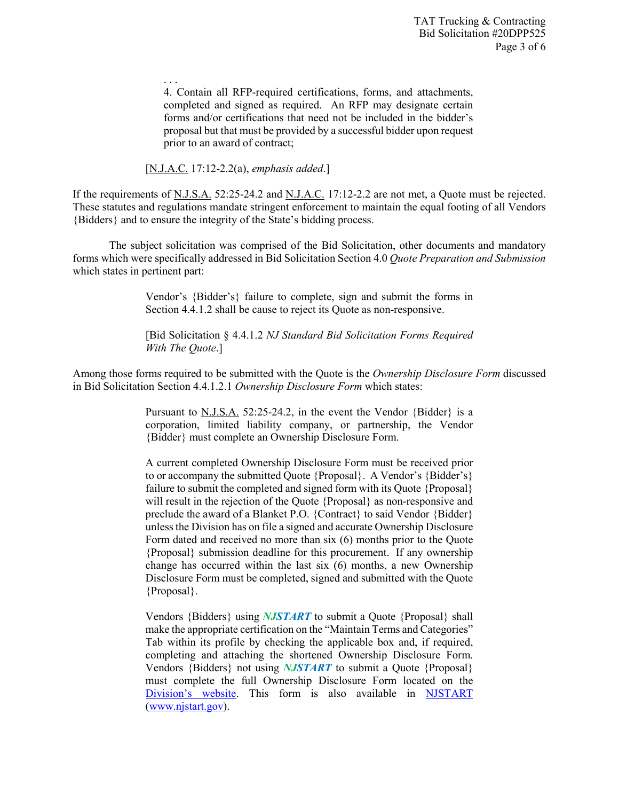4. Contain all RFP-required certifications, forms, and attachments, completed and signed as required. An RFP may designate certain forms and/or certifications that need not be included in the bidder's proposal but that must be provided by a successful bidder upon request prior to an award of contract;

## [N.J.A.C. 17:12-2.2(a), *emphasis added*.]

. . .

If the requirements of N.J.S.A. 52:25-24.2 and N.J.A.C. 17:12-2.2 are not met, a Quote must be rejected. These statutes and regulations mandate stringent enforcement to maintain the equal footing of all Vendors {Bidders} and to ensure the integrity of the State's bidding process.

The subject solicitation was comprised of the Bid Solicitation, other documents and mandatory forms which were specifically addressed in Bid Solicitation Section 4.0 *Quote Preparation and Submission*  which states in pertinent part:

> Vendor's {Bidder's} failure to complete, sign and submit the forms in Section 4.4.1.2 shall be cause to reject its Quote as non-responsive.

> [Bid Solicitation § 4.4.1.2 *NJ Standard Bid Solicitation Forms Required With The Quote*.]

Among those forms required to be submitted with the Quote is the *Ownership Disclosure Form* discussed in Bid Solicitation Section 4.4.1.2.1 *Ownership Disclosure Form* which states:

> Pursuant to N.J.S.A. 52:25-24.2, in the event the Vendor {Bidder} is a corporation, limited liability company, or partnership, the Vendor {Bidder} must complete an Ownership Disclosure Form.

> A current completed Ownership Disclosure Form must be received prior to or accompany the submitted Quote {Proposal}. A Vendor's {Bidder's} failure to submit the completed and signed form with its Quote {Proposal} will result in the rejection of the Quote {Proposal} as non-responsive and preclude the award of a Blanket P.O. {Contract} to said Vendor {Bidder} unless the Division has on file a signed and accurate Ownership Disclosure Form dated and received no more than six (6) months prior to the Quote {Proposal} submission deadline for this procurement. If any ownership change has occurred within the last six (6) months, a new Ownership Disclosure Form must be completed, signed and submitted with the Quote {Proposal}.

> Vendors {Bidders} using *NJSTART* to submit a Quote {Proposal} shall make the appropriate certification on the "Maintain Terms and Categories" Tab within its profile by checking the applicable box and, if required, completing and attaching the shortened Ownership Disclosure Form. Vendors {Bidders} not using *NJSTART* to submit a Quote {Proposal} must complete the full Ownership Disclosure Form located on the Division's website. This form is also available in NJSTART (www.njstart.gov).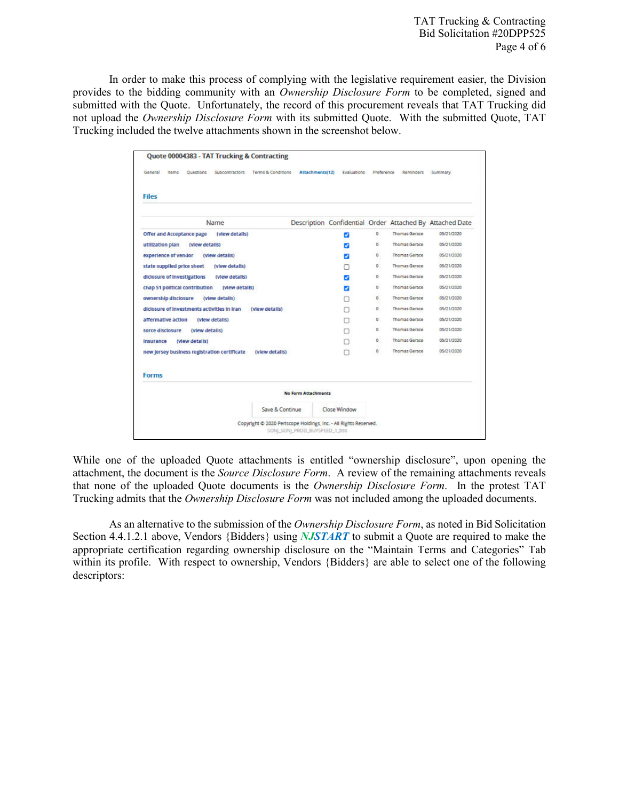TAT Trucking & Contracting Bid Solicitation #20DPP525 Page 4 of 6

In order to make this process of complying with the legislative requirement easier, the Division provides to the bidding community with an *Ownership Disclosure Form* to be completed, signed and submitted with the Quote. Unfortunately, the record of this procurement reveals that TAT Trucking did not upload the *Ownership Disclosure Form* with its submitted Quote. With the submitted Quote, TAT Trucking included the twelve attachments shown in the screenshot below.

| General<br><b>Items</b><br>Terms & Conditions<br>Ouestions<br>Subcontractors |                            | Attachments(12) Evaluations Preference |              | Reminders            | Summary                                                  |
|------------------------------------------------------------------------------|----------------------------|----------------------------------------|--------------|----------------------|----------------------------------------------------------|
| <b>Files</b>                                                                 |                            |                                        |              |                      |                                                          |
| Name                                                                         |                            |                                        |              |                      | Description Confidential Order Attached By Attached Date |
| <b>Offer and Acceptance page</b><br>(view details)                           |                            | ø                                      | ٥            | <b>Thomas Gerace</b> | 05/21/2020                                               |
| utilization plan<br>(view details)                                           |                            | ø                                      | ۰            | <b>Thomas Gerace</b> | 05/21/2020                                               |
| experience of vendor<br>(view details)                                       |                            | ø                                      | o.           | <b>Thomas Gerace</b> | 05/21/2020                                               |
| state supplied price sheet<br>(view details)                                 |                            |                                        | $\bullet$    | <b>Thomas Gerace</b> | 05/21/2020                                               |
| diciosure of investigations<br>(view details)                                |                            | ø                                      | 0            | <b>Thomas Gerace</b> | 05/21/2020                                               |
| chap 51 political contribution<br>(view details)                             |                            | ø                                      | ۰            | <b>Thomas Gerace</b> | 05/21/2020                                               |
| ownership disclosure<br>(view details)                                       |                            | п                                      | o.           | <b>Thomas Gerace</b> | 05/21/2020                                               |
| diciosure of investments activities in Iran (view details)                   |                            | п                                      | o            | <b>Thomas Gerace</b> | 05/21/2020                                               |
| affermative action<br>(view details)                                         |                            | а                                      | ٥            | <b>Thomas Gerace</b> | 05/21/2020                                               |
| sorce disclosure<br>(view details)                                           |                            | a                                      | $\bullet$    | <b>Thomas Gerace</b> | 05/21/2020                                               |
| (view details)<br><b>Insurance</b>                                           |                            | n                                      | $\mathbf{0}$ | <b>Thomas Gerace</b> | 05/21/2020                                               |
| new Jersey business registration certificate<br>(view details)               |                            | n                                      | $\circ$      | <b>Thomas Gerace</b> | 05/21/2020                                               |
| <b>Forms</b>                                                                 |                            |                                        |              |                      |                                                          |
|                                                                              | <b>No Form Attachments</b> |                                        |              |                      |                                                          |
| Save & Continue                                                              |                            | Close Window                           |              |                      |                                                          |

While one of the uploaded Quote attachments is entitled "ownership disclosure", upon opening the attachment, the document is the *Source Disclosure Form*. A review of the remaining attachments reveals that none of the uploaded Quote documents is the *Ownership Disclosure Form*. In the protest TAT Trucking admits that the *Ownership Disclosure Form* was not included among the uploaded documents.

As an alternative to the submission of the *Ownership Disclosure Form*, as noted in Bid Solicitation Section 4.4.1.2.1 above, Vendors {Bidders} using *NJSTART* to submit a Quote are required to make the appropriate certification regarding ownership disclosure on the "Maintain Terms and Categories" Tab within its profile. With respect to ownership, Vendors {Bidders} are able to select one of the following descriptors: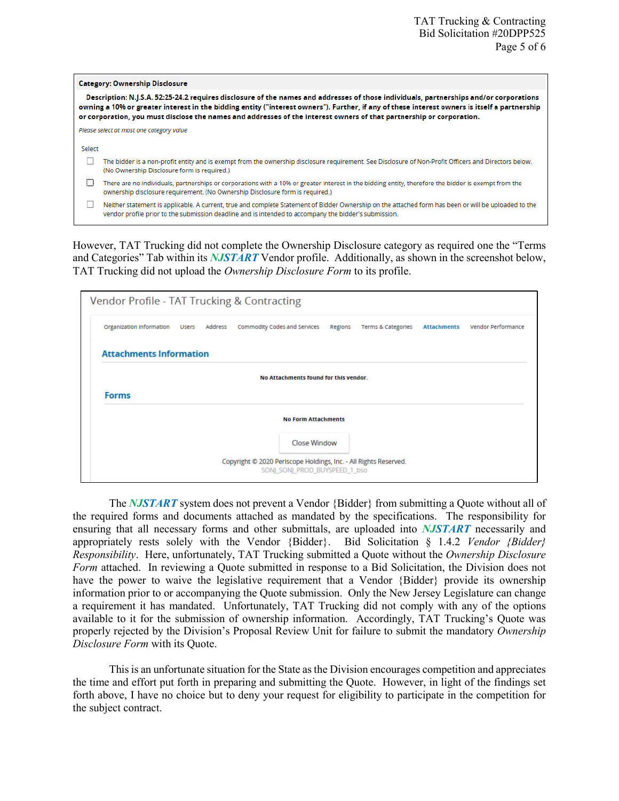|        | <b>Category: Ownership Disclosure</b>                                                                                                                                                                                                                                                                                                                                                                          |
|--------|----------------------------------------------------------------------------------------------------------------------------------------------------------------------------------------------------------------------------------------------------------------------------------------------------------------------------------------------------------------------------------------------------------------|
|        | Description: N.J.S.A. 52:25-24.2 requires disclosure of the names and addresses of those individuals, partnerships and/or corporations<br>owning a 10% or greater interest in the bidding entity ("interest owners"). Further, if any of these interest owners is itself a partnership<br>or corporation, you must disclose the names and addresses of the interest owners of that partnership or corporation. |
|        | Please select at most one category value                                                                                                                                                                                                                                                                                                                                                                       |
| Select |                                                                                                                                                                                                                                                                                                                                                                                                                |
|        | The bidder is a non-profit entity and is exempt from the ownership disclosure requirement. See Disclosure of Non-Profit Officers and Directors below.<br>(No Ownership Disclosure form is required.)                                                                                                                                                                                                           |
| U      | There are no individuals, partnerships or corporations with a 10% or greater interest in the bidding entity, therefore the bidder is exempt from the<br>ownership disclosure requirement. (No Ownership Disclosure form is required.)                                                                                                                                                                          |
|        | Neither statement is applicable. A current, true and complete Statement of Bidder Ownership on the attached form has been or will be uploaded to the<br>vendor profile prior to the submission deadline and is intended to accompany the bidder's submission.                                                                                                                                                  |

However, TAT Trucking did not complete the Ownership Disclosure category as required one the "Terms and Categories" Tab within its *NJSTART* Vendor profile. Additionally, as shown in the screenshot below, TAT Trucking did not upload the *Ownership Disclosure Form* to its profile.

| Organization information       | Users Address | Commodity Codes and Services          | Regions | <b>Terms &amp; Categories</b> | <b>Attachments</b> | <b>Vendor Performance</b> |
|--------------------------------|---------------|---------------------------------------|---------|-------------------------------|--------------------|---------------------------|
| <b>Attachments Information</b> |               |                                       |         |                               |                    |                           |
|                                |               | No Attachments found for this vendor. |         |                               |                    |                           |
| <b>Forms</b>                   |               |                                       |         |                               |                    |                           |
|                                |               |                                       |         |                               |                    |                           |
|                                |               | <b>No Form Attachments</b>            |         |                               |                    |                           |

The *NJSTART* system does not prevent a Vendor {Bidder} from submitting a Quote without all of the required forms and documents attached as mandated by the specifications. The responsibility for ensuring that all necessary forms and other submittals, are uploaded into *NJSTART* necessarily and appropriately rests solely with the Vendor {Bidder}. Bid Solicitation § 1.4.2 *Vendor {Bidder} Responsibility*. Here, unfortunately, TAT Trucking submitted a Quote without the *Ownership Disclosure Form* attached. In reviewing a Quote submitted in response to a Bid Solicitation, the Division does not have the power to waive the legislative requirement that a Vendor {Bidder} provide its ownership information prior to or accompanying the Quote submission. Only the New Jersey Legislature can change a requirement it has mandated. Unfortunately, TAT Trucking did not comply with any of the options available to it for the submission of ownership information. Accordingly, TAT Trucking's Quote was properly rejected by the Division's Proposal Review Unit for failure to submit the mandatory *Ownership Disclosure Form* with its Quote.

This is an unfortunate situation for the State as the Division encourages competition and appreciates the time and effort put forth in preparing and submitting the Quote. However, in light of the findings set forth above, I have no choice but to deny your request for eligibility to participate in the competition for the subject contract.